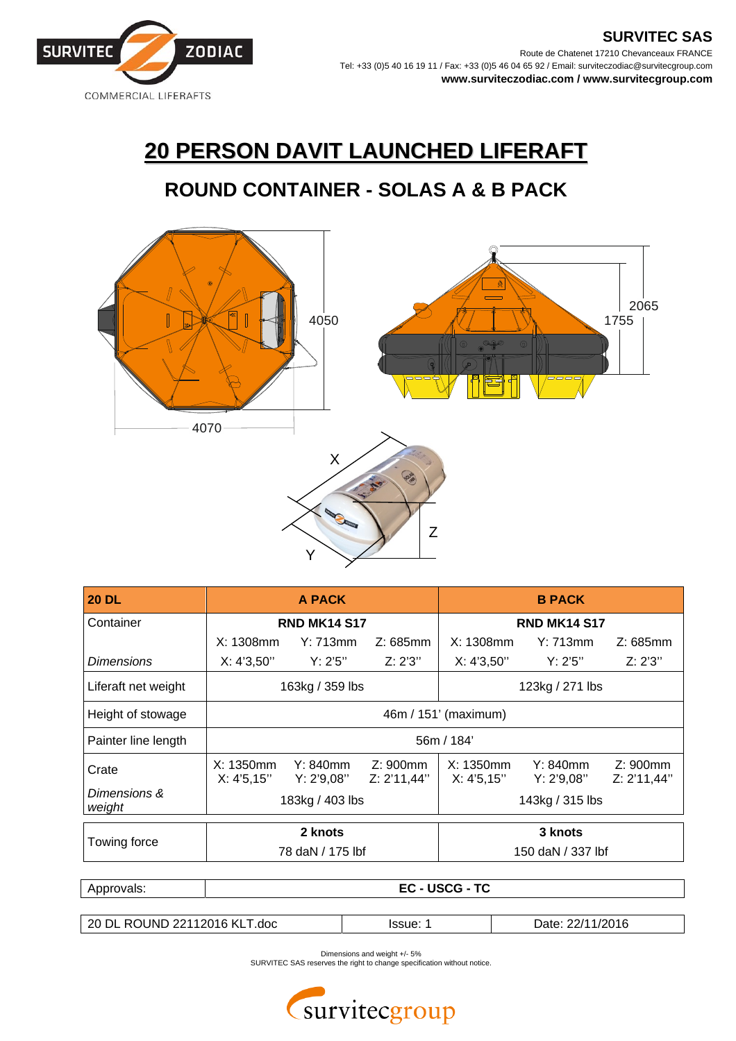

## **20 PERSON DAVIT LAUNCHED LIFERAFT**

## **ROUND CONTAINER - SOLAS A & B PACK**



| <b>20 DL</b>           | A PACK                      |                           |                            | <b>B PACK</b>               |                           |                        |
|------------------------|-----------------------------|---------------------------|----------------------------|-----------------------------|---------------------------|------------------------|
| Container              | <b>RND MK14 S17</b>         |                           |                            | <b>RND MK14 S17</b>         |                           |                        |
|                        | $X: 1308$ mm                | Y: 713mm                  | Z: 685mm                   | $X: 1308$ mm                | Y: 713mm                  | Z: 685mm               |
| Dimensions             | X: 4'3,50''                 | Y: 2'5"                   | Z: 2'3''                   | X: 4'3,50"                  | Y: 2'5"                   | Z: 2'3''               |
| Liferaft net weight    | 163kg / 359 lbs             |                           |                            | 123kg / 271 lbs             |                           |                        |
| Height of stowage      | 46m / 151' (maximum)        |                           |                            |                             |                           |                        |
| Painter line length    | 56m / 184'                  |                           |                            |                             |                           |                        |
| Crate                  | $X: 1350$ mm<br>X: 4'5, 15" | $Y: 840$ mm<br>Y: 2'9,08" | $Z: 900$ mm<br>Z: 2'11,44" | $X: 1350$ mm<br>X: 4'5, 15" | $Y: 840$ mm<br>Y: 2'9,08" | Z:900mm<br>Z: 2'11,44" |
| Dimensions &<br>weight | 183kg / 403 lbs             |                           |                            | 143kg / 315 lbs             |                           |                        |
| Towing force           | 2 knots                     |                           |                            | 3 knots                     |                           |                        |
|                        | 78 daN / 175 lbf            |                           |                            | 150 daN / 337 lbf           |                           |                        |
|                        |                             |                           |                            |                             |                           |                        |

| Approvals:                   | <b>EC-USCG-TC</b> |          |                  |  |  |  |
|------------------------------|-------------------|----------|------------------|--|--|--|
|                              |                   |          |                  |  |  |  |
| 20 DL ROUND 22112016 KLT.doc |                   | lssue: 1 | Date: 22/11/2016 |  |  |  |

Dimensions and weight +/- 5%

SURVITEC SAS reserves the right to change specification without notice.